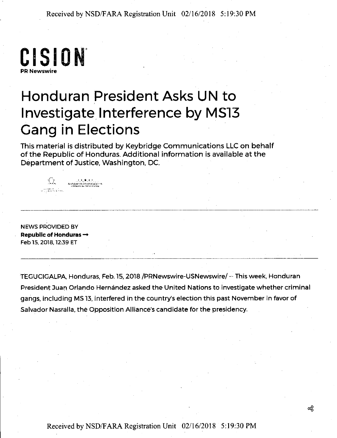**CI SI ON' PR Newswire** 

## **Honduran President Asks UN to I nvestigate.I nterference by MS13 Gang in Elections**

This material is distributed by Keybridge Communications LLC on behalf of the Republic of Honduras. Additional information is available at the Department of Justice, Washington, DC.

NEWS PROVIDED BY Republic of Honduras  $\rightarrow$ Feb 15, 2018, 12:39 ET

i<br>Tanzania (1998–1999)<br>Tanzania (1999–1999)

 $\begin{array}{ccccc} \mathbb{P}^1_{\mathbb{C}} & \mathbb{P}^2_{\mathbb{C}} & \mathbb{P}^3_{\mathbb{C}} & \mathbb{P}^4_{\mathbb{C}} & \mathbb{P}^5_{\mathbb{C}} \end{array}$  , and the same that  $\mathbb{C}$  , the same that  $\mathbb{C}$  ,  $\mathbb{C}^3$  ,  $\mathbb{C}^3$  ,  $\mathbb{C}^3$  ,  $\mathbb{C}^3$  ,  $\mathbb{C}^3$  ,  $\mathbb{$ 

TEGUCIGALPA. Honduras, Feb.15, 2018 /PRNewswire-USNewswire/--This week. Honduran President Juan Orlando Hernández asked the United Nations to investigate whether criminal gangs. including MS 13. interfered in the country's election this past November in favor of Salvador Nasralla. the Opposition Alliance's candidate for the presidency.

Received by NSD/FARA Registration Unit 02/16/2018 5:19:30 PM

ಹೆ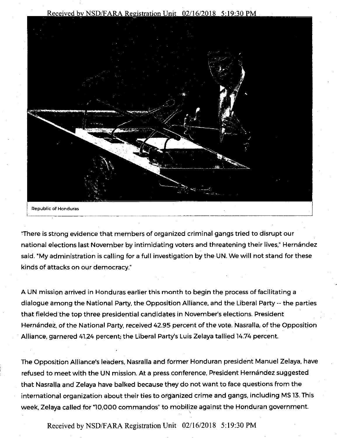



"There is strong evidence that members of organized criminal gangs tried to disrupt our national elections last November by intimidating voters and threatening their lives," Hernández said. "My administration is calling for a full investigation by the UN. We will not stand for these kinds of attacks on our democracy."

A UN mission arrived in Honduras earlier this month to begin the process of facilitating a dialogue among the National Party, the Opposition Alliance, and the Liberal Party -- the parties that fielded the top three presidential candidates in November's elections. President Hernandez, of the National Party, received 42.95 percent of the vote. Nasralla, of the Opposition Alliance, garnered 4124 percent; the Liberal Party's Luis Zelaya tallied 14.74 percent.

The Opposition Alliance's leaders, Nasralla and former Honduran president Manuel Zelaya, have refused to meet with the UN mission. At a press conference, President Hernández suggested that Nasralla and Zelaya have balked because they do not want to face questions from the international organization about their ties to organized crime and gangs, including MS 13. This week, Zelaya called for "10,000 commandos" to mobilize against the Honduran government.

Received by NSD/FARA Registration Unit 02/16/2018 5:19:30 PM